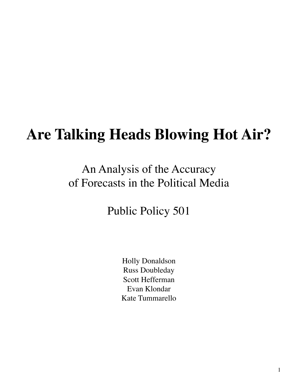# **Are Talking Heads Blowing Hot Air?**

# An Analysis of the Accuracy of Forecasts in the Political Media

Public Policy 501

Holly Donaldson **Russ Doubleday Scott Hefferman** Evan Klondar Kate Tummarello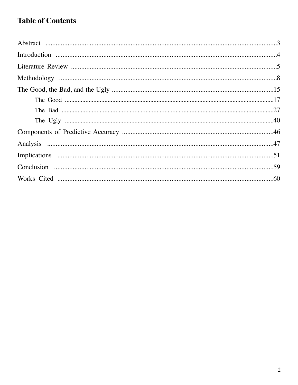# **Table of Contents**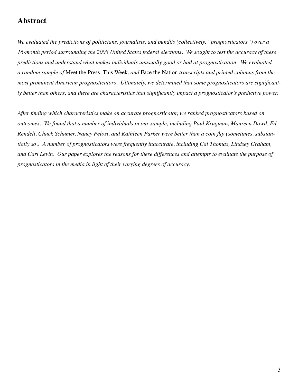# **Abstract**

We evaluated the predictions of politicians, journalists, and pundits (collectively, "prognosticators") over a 16-month period surrounding the 2008 United States federal elections. We sought to test the accuracy of these predictions and understand what makes individuals unusually good or bad at prognostication. We evaluated a random sample of Meet the Press, This Week, and Face the Nation transcripts and printed columns from the most prominent American prognosticators. Ultimately, we determined that some prognosticators are significantly better than others, and there are characteristics that significantly impact a prognosticator's predictive power.

After finding which characteristics make an accurate prognosticator, we ranked prognosticators based on outcomes. We found that a number of individuals in our sample, including Paul Krugman, Maureen Dowd, Ed Rendell, Chuck Schumer, Nancy Pelosi, and Kathleen Parker were better than a coin flip (sometimes, substantially so.) A number of prognosticators were frequently inaccurate, including Cal Thomas, Lindsey Graham, and Carl Levin. Our paper explores the reasons for these differences and attempts to evaluate the purpose of prognosticators in the media in light of their varying degrees of accuracy.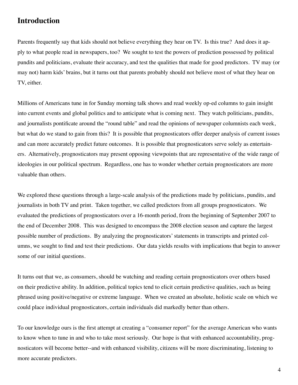# **Introduction**

Parents frequently say that kids should not believe everything they hear on TV. Is this true? And does it apply to what people read in newspapers, too? We sought to test the powers of prediction possessed by political pundits and politicians, evaluate their accuracy, and test the qualities that made for good predictors. TV may (or may not) harm kids' brains, but it turns out that parents probably should not believe most of what they hear on TV, either.

Millions of Americans tune in for Sunday morning talk shows and read weekly op-ed columns to gain insight into current events and global politics and to anticipate what is coming next. They watch politicians, pundits, and journalists pontificate around the "round table" and read the opinions of newspaper columnists each week, but what do we stand to gain from this? It is possible that prognosticators offer deeper analysis of current issues and can more accurately predict future outcomes. It is possible that prognosticators serve solely as entertainers. Alternatively, prognosticators may present opposing viewpoints that are representative of the wide range of ideologies in our political spectrum. Regardless, one has to wonder whether certain prognosticators are more valuable than others.

We explored these questions through a large-scale analysis of the predictions made by politicians, pundits, and journalists in both TV and print. Taken together, we called predictors from all groups prognosticators. We evaluated the predictions of prognosticators over a 16-month period, from the beginning of September 2007 to the end of December 2008. This was designed to encompass the 2008 election season and capture the largest possible number of predictions. By analyzing the prognosticators' statements in transcripts and printed columns, we sought to find and test their predictions. Our data yields results with implications that begin to answer some of our initial questions.

It turns out that we, as consumers, should be watching and reading certain prognosticators over others based on their predictive ability. In addition, political topics tend to elicit certain predictive qualities, such as being phrased using positive/negative or extreme language. When we created an absolute, holistic scale on which we could place individual prognosticators, certain individuals did markedly better than others.

To our knowledge ours is the first attempt at creating a "consumer report" for the average American who wants to know when to tune in and who to take most seriously. Our hope is that with enhanced accountability, prognosticators will become better--and with enhanced visibility, citizens will be more discriminating, listening to more accurate predictors.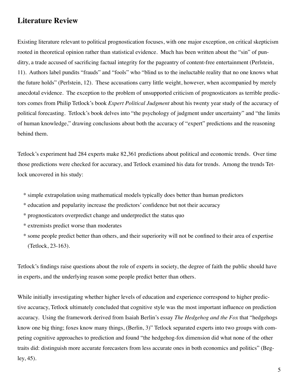# **Literature Review**

Existing literature relevant to political prognostication focuses, with one major exception, on critical skepticism rooted in theoretical opinion rather than statistical evidence. Much has been written about the "sin" of punditry, a trade accused of sacrificing factual integrity for the pageantry of content-free entertainment (Perlstein, 11). Authors label pundits "frauds" and "fools" who "blind us to the ineluctable reality that no one knows what the future holds" (Perlstein, 12). These accusations carry little weight, however, when accompanied by merely anecdotal evidence. The exception to the problem of unsupported criticism of prognosticators as terrible predictors comes from Philip Tetlock's book *Expert Political Judgment* about his twenty year study of the accuracy of political forecasting. Tetlock's book delves into "the psychology of judgment under uncertainty" and "the limits of human knowledge," drawing conclusions about both the accuracy of "expert" predictions and the reasoning behind them.

Tetlock's experiment had 284 experts make 82,361 predictions about political and economic trends. Over time those predictions were checked for accuracy, and Tetlock examined his data for trends. Among the trends Tetlock uncovered in his study:

- \* simple extrapolation using mathematical models typically does better than human predictors
- \* education and popularity increase the predictors' confidence but not their accuracy
- \* prognosticators overpredict change and underpredict the status quo
- \* extremists predict worse than moderates
- \* some people predict better than others, and their superiority will not be confined to their area of expertise (Tetlock, 23-163).

Tetlock's findings raise questions about the role of experts in society, the degree of faith the public should have in experts, and the underlying reason some people predict better than others.

While initially investigating whether higher levels of education and experience correspond to higher predictive accuracy, Tetlock ultimately concluded that cognitive style was the most important influence on prediction accuracy. Using the framework derived from Isaiah Berlin's essay The Hedgehog and the Fox that "hedgehogs" know one big thing; foxes know many things, (Berlin, 3)" Tetlock separated experts into two groups with competing cognitive approaches to prediction and found "the hedgehog-fox dimension did what none of the other traits did: distinguish more accurate forecasters from less accurate ones in both economics and politics" (Beg $ley, 45$ ).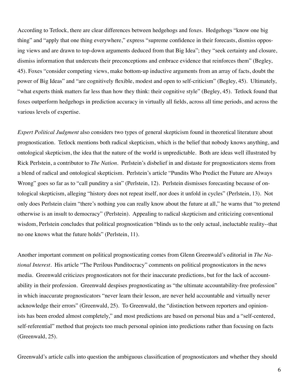According to Tetlock, there are clear differences between hedgehogs and foxes. Hedgehogs "know one big thing" and "apply that one thing everywhere," express "supreme confidence in their forecasts, dismiss opposing views and are drawn to top-down arguments deduced from that Big Idea"; they "seek certainty and closure, dismiss information that undercuts their preconceptions and embrace evidence that reinforces them" (Begley, 45). Foxes "consider competing views, make bottom-up inductive arguments from an array of facts, doubt the power of Big Ideas" and "are cognitively flexible, modest and open to self-criticism" (Begley, 45). Ultimately, "what experts think matters far less than how they think: their cognitive style" (Begley, 45). Tetlock found that foxes outperform hedgehogs in prediction accuracy in virtually all fields, across all time periods, and across the various levels of expertise.

Expert Political Judgment also considers two types of general skepticism found in theoretical literature about prognostication. Tetlock mentions both radical skepticism, which is the belief that nobody knows anything, and ontological skepticism, the idea that the nature of the world is unpredictable. Both are ideas well illustrated by Rick Perlstein, a contributor to *The Nation*. Perlstein's disbelief in and distaste for prognosticators stems from a blend of radical and ontological skepticism. Perlstein's article "Pundits Who Predict the Future are Always Wrong" goes so far as to "call punditry a sin" (Perlstein, 12). Perlstein dismisses forecasting because of ontological skepticism, alleging "history does not repeat itself, nor does it unfold in cycles" (Perlstein, 13). Not only does Perlstein claim "there's nothing you can really know about the future at all," he warns that "to pretend otherwise is an insult to democracy" (Perlstein). Appealing to radical skepticism and criticizing conventional wisdom, Perlstein concludes that political prognostication "blinds us to the only actual, ineluctable reality--that no one knows what the future holds" (Perlstein, 11).

Another important comment on political prognosticating comes from Glenn Greenwald's editorial in The National Interest. His article "The Perilous Punditocracy" comments on political prognosticators in the news media. Greenwald criticizes prognosticators not for their inaccurate predictions, but for the lack of accountability in their profession. Greenwald despises prognosticating as "the ultimate accountability-free profession" in which inaccurate prognosticators "never learn their lesson, are never held accountable and virtually never acknowledge their errors" (Greenwald, 25). To Greenwald, the "distinction between reporters and opinionists has been eroded almost completely," and most predictions are based on personal bias and a "self-centered, self-referential" method that projects too much personal opinion into predictions rather than focusing on facts (Greenwald, 25).

Greenwald's article calls into question the ambiguous classification of prognosticators and whether they should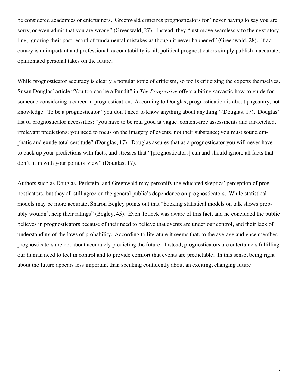be considered academics or entertainers. Greenwald criticizes prognosticators for "never having to say you are sorry, or even admit that you are wrong" (Greenwald, 27). Instead, they "just move seamlessly to the next story line, ignoring their past record of fundamental mistakes as though it never happened" (Greenwald, 28). If accuracy is unimportant and professional accountability is nil, political prognosticators simply publish inaccurate, opinionated personal takes on the future.

While prognosticator accuracy is clearly a popular topic of criticism, so too is criticizing the experts themselves. Susan Douglas' article "You too can be a Pundit" in *The Progressive* offers a biting sarcastic how-to guide for someone considering a career in prognostication. According to Douglas, prognostication is about pageantry, not knowledge. To be a prognosticator "you don't need to know anything about anything" (Douglas, 17). Douglas' list of prognosticator necessities: "you have to be real good at vague, content-free assessments and far-fetched, irrelevant predictions; you need to focus on the imagery of events, not their substance; you must sound emphatic and exude total certitude" (Douglas, 17). Douglas assures that as a prognosticator you will never have to back up your predictions with facts, and stresses that "[prognosticators] can and should ignore all facts that don't fit in with your point of view" (Douglas, 17).

Authors such as Douglas, Perlstein, and Greenwald may personify the educated skeptics' perception of prognosticators, but they all still agree on the general public's dependence on prognosticators. While statistical models may be more accurate, Sharon Begley points out that "booking statistical models on talk shows probably wouldn't help their ratings" (Begley, 45). Even Tetlock was aware of this fact, and he concluded the public believes in prognosticators because of their need to believe that events are under our control, and their lack of understanding of the laws of probability. According to literature it seems that, to the average audience member, prognosticators are not about accurately predicting the future. Instead, prognosticators are entertainers fulfilling our human need to feel in control and to provide comfort that events are predictable. In this sense, being right about the future appears less important than speaking confidently about an exciting, changing future.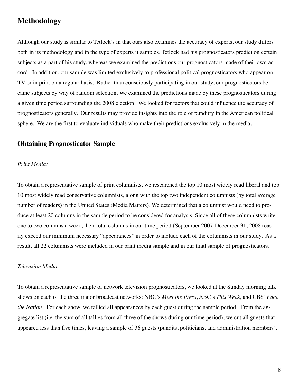# **Methodology**

Although our study is similar to Tetlock's in that ours also examines the accuracy of experts, our study differs both in its methodology and in the type of experts it samples. Tetlock had his prognosticators predict on certain subjects as a part of his study, whereas we examined the predictions our prognosticators made of their own accord. In addition, our sample was limited exclusively to professional political prognosticators who appear on TV or in print on a regular basis. Rather than consciously participating in our study, our prognosticators became subjects by way of random selection. We examined the predictions made by these prognosticators during a given time period surrounding the 2008 election. We looked for factors that could influence the accuracy of prognosticators generally. Our results may provide insights into the role of punditry in the American political sphere. We are the first to evaluate individuals who make their predictions exclusively in the media.

#### **Obtaining Prognosticator Sample**

#### Print Media:

To obtain a representative sample of print columnists, we researched the top 10 most widely read liberal and top 10 most widely read conservative columnists, along with the top two independent columnists (by total average number of readers) in the United States (Media Matters). We determined that a columnist would need to produce at least 20 columns in the sample period to be considered for analysis. Since all of these columnists write one to two columns a week, their total columns in our time period (September 2007-December 31, 2008) easily exceed our minimum necessary "appearances" in order to include each of the columnists in our study. As a result, all 22 columnists were included in our print media sample and in our final sample of prognosticators.

#### Television Media:

To obtain a representative sample of network television prognosticators, we looked at the Sunday morning talk shows on each of the three major broadcast networks: NBC's Meet the Press, ABC's This Week, and CBS' Face the Nation. For each show, we tallied all appearances by each guest during the sample period. From the aggregate list (i.e. the sum of all tallies from all three of the shows during our time period), we cut all guests that appeared less than five times, leaving a sample of 36 guests (pundits, politicians, and administration members).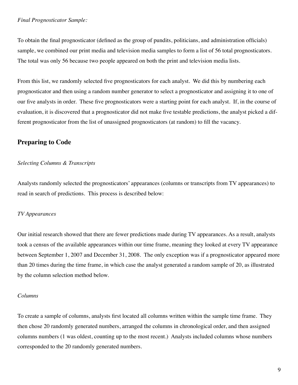#### **Final Prognosticator Sample:**

To obtain the final prognosticator (defined as the group of pundits, politicians, and administration officials) sample, we combined our print media and television media samples to form a list of 56 total prognosticators. The total was only 56 because two people appeared on both the print and television media lists.

From this list, we randomly selected five prognosticators for each analyst. We did this by numbering each prognosticator and then using a random number generator to select a prognosticator and assigning it to one of our five analysts in order. These five prognosticators were a starting point for each analyst. If, in the course of evaluation, it is discovered that a prognosticator did not make five testable predictions, the analyst picked a different prognosticator from the list of unassigned prognosticators (at random) to fill the vacancy.

#### **Preparing to Code**

#### **Selecting Columns & Transcripts**

Analysts randomly selected the prognosticators' appearances (columns or transcripts from TV appearances) to read in search of predictions. This process is described below:

#### **TV** Appearances

Our initial research showed that there are fewer predictions made during TV appearances. As a result, analysts took a census of the available appearances within our time frame, meaning they looked at every TV appearance between September 1, 2007 and December 31, 2008. The only exception was if a prognosticator appeared more than 20 times during the time frame, in which case the analyst generated a random sample of 20, as illustrated by the column selection method below.

#### Columns

To create a sample of columns, analysts first located all columns written within the sample time frame. They then chose 20 randomly generated numbers, arranged the columns in chronological order, and then assigned columns numbers (1 was oldest, counting up to the most recent.) Analysts included columns whose numbers corresponded to the 20 randomly generated numbers.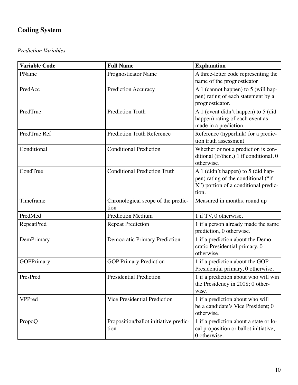# **Coding System**

#### **Prediction Variables**

| <b>Variable Code</b> | <b>Full Name</b>                              | <b>Explanation</b>                                                                                                         |
|----------------------|-----------------------------------------------|----------------------------------------------------------------------------------------------------------------------------|
| PName                | Prognosticator Name                           | A three-letter code representing the<br>name of the prognosticator                                                         |
| PredAcc              | Prediction Accuracy                           | A 1 (cannot happen) to 5 (will hap-<br>pen) rating of each statement by a<br>prognosticator.                               |
| PredTrue             | <b>Prediction Truth</b>                       | A 1 (event didn't happen) to 5 (did<br>happen) rating of each event as<br>made in a prediction.                            |
| PredTrue Ref         | <b>Prediction Truth Reference</b>             | Reference (hyperlink) for a predic-<br>tion truth assessment                                                               |
| Conditional          | <b>Conditional Prediction</b>                 | Whether or not a prediction is con-<br>ditional (if/then.) 1 if conditional, 0<br>otherwise.                               |
| CondTrue             | <b>Conditional Prediction Truth</b>           | A 1 (didn't happen) to 5 (did hap-<br>pen) rating of the conditional ("if<br>X") portion of a conditional predic-<br>tion. |
| Timeframe            | Chronological scope of the predic-<br>tion    | Measured in months, round up                                                                                               |
| PredMed              | <b>Prediction Medium</b>                      | 1 if TV, 0 otherwise.                                                                                                      |
| <b>RepeatPred</b>    | <b>Repeat Prediction</b>                      | 1 if a person already made the same<br>prediction, 0 otherwise.                                                            |
| DemPrimary           | <b>Democratic Primary Prediction</b>          | 1 if a prediction about the Demo-<br>cratic Presidential primary, 0<br>otherwise.                                          |
| <b>GOPPrimary</b>    | <b>GOP Primary Prediction</b>                 | 1 if a prediction about the GOP<br>Presidential primary, 0 otherwise.                                                      |
| PresPred             | <b>Presidential Prediction</b>                | 1 if a prediction about who will win<br>the Presidency in 2008; 0 other-<br>wise.                                          |
| VPPred               | Vice Presidential Prediction                  | 1 if a prediction about who will<br>be a candidate's Vice President; 0<br>otherwise.                                       |
| PropoQ               | Proposition/ballot initiative predic-<br>tion | 1 if a prediction about a state or lo-<br>cal proposition or ballot initiative;<br>0 otherwise.                            |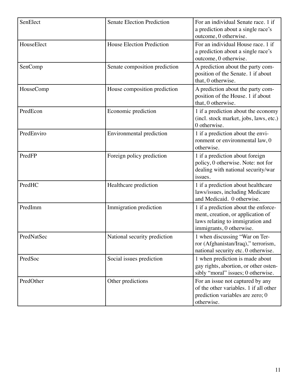| SenElect   | <b>Senate Election Prediction</b> | For an individual Senate race. 1 if<br>a prediction about a single race's<br>outcome, 0 otherwise.                                        |
|------------|-----------------------------------|-------------------------------------------------------------------------------------------------------------------------------------------|
| HouseElect | <b>House Election Prediction</b>  | For an individual House race. 1 if<br>a prediction about a single race's<br>outcome, 0 otherwise.                                         |
| SenComp    | Senate composition prediction     | A prediction about the party com-<br>position of the Senate. 1 if about<br>that, 0 otherwise.                                             |
| HouseComp  | House composition prediction      | A prediction about the party com-<br>position of the House. 1 if about<br>that, 0 otherwise.                                              |
| PredEcon   | Economic prediction               | 1 if a prediction about the economy<br>(incl. stock market, jobs, laws, etc.)<br>0 otherwise.                                             |
| PredEnviro | Environmental prediction          | 1 if a prediction about the envi-<br>ronment or environmental law, 0<br>otherwise.                                                        |
| PredFP     | Foreign policy prediction         | 1 if a prediction about foreign<br>policy, 0 otherwise. Note: not for<br>dealing with national security/war<br>issues.                    |
| PredHC     | Healthcare prediction             | 1 if a prediction about healthcare<br>laws/issues, including Medicare<br>and Medicaid. 0 otherwise.                                       |
| PredImm    | Immigration prediction            | 1 if a prediction about the enforce-<br>ment, creation, or application of<br>laws relating to immigration and<br>immigrants, 0 otherwise. |
| PredNatSec | National security prediction      | 1 when discussing "War on Ter-<br>ror (Afghanistan/Iraq)," terrorism,<br>national security etc. 0 otherwise.                              |
| PredSoc    | Social issues prediction          | 1 when prediction is made about<br>gay rights, abortion, or other osten-<br>sibly "moral" issues; 0 otherwise.                            |
| PredOther  | Other predictions                 | For an issue not captured by any<br>of the other variables. 1 if all other<br>prediction variables are zero; 0<br>otherwise.              |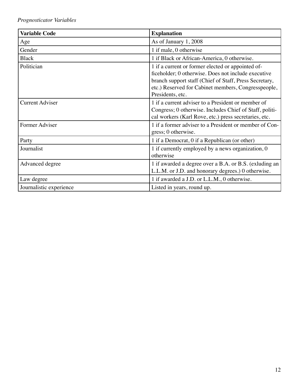# Prognosticator Variables

| <b>Variable Code</b>    | <b>Explanation</b>                                                                                                                                                                                                                            |
|-------------------------|-----------------------------------------------------------------------------------------------------------------------------------------------------------------------------------------------------------------------------------------------|
| Age                     | As of January 1, 2008                                                                                                                                                                                                                         |
| Gender                  | 1 if male, 0 otherwise                                                                                                                                                                                                                        |
| <b>Black</b>            | 1 if Black or African-America, 0 otherwise.                                                                                                                                                                                                   |
| Politician              | 1 if a current or former elected or appointed of-<br>ficeholder; 0 otherwise. Does not include executive<br>branch support staff (Chief of Staff, Press Secretary,<br>etc.) Reserved for Cabinet members, Congresspeople,<br>Presidents, etc. |
| <b>Current Adviser</b>  | 1 if a current adviser to a President or member of<br>Congress; 0 otherwise. Includes Chief of Staff, politi-<br>cal workers (Karl Rove, etc.) press secretaries, etc.                                                                        |
| Former Adviser          | 1 if a former adviser to a President or member of Con-<br>gress; 0 otherwise.                                                                                                                                                                 |
| Party                   | 1 if a Democrat, 0 if a Republican (or other)                                                                                                                                                                                                 |
| Journalist              | 1 if currently employed by a news organization, 0<br>otherwise                                                                                                                                                                                |
| Advanced degree         | 1 if awarded a degree over a B.A. or B.S. (exluding an<br>L.L.M. or J.D. and honorary degrees.) 0 otherwise.                                                                                                                                  |
| Law degree              | 1 if awarded a J.D. or L.L.M., 0 otherwise.                                                                                                                                                                                                   |
| Journalistic experience | Listed in years, round up.                                                                                                                                                                                                                    |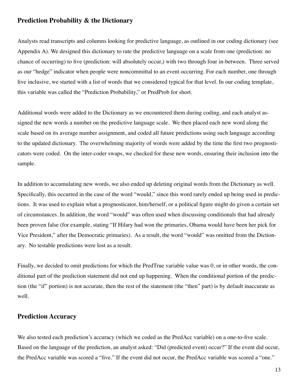#### **Prediction Probability & the Dictionary**

Analysts read transcripts and columns looking for predictive language, as outlined in our coding dictionary (see Appendix A). We designed this dictionary to rate the predictive language on a scale from one (prediction: no chance of occurring) to five (prediction: will absolutely occur,) with two through four in-between. Three served as our "hedge" indicator when people were noncommittal to an event occurring. For each number, one through five inclusive, we started with a list of words that we considered typical for that level. In our coding template, this variable was called the "Prediction Probability," or PredProb for short.

Additional words were added to the Dictionary as we encountered them during coding, and each analyst assigned the new words a number on the predictive language scale. We then placed each new word along the scale based on its average number assignment, and coded all future predictions using such language according to the updated dictionary. The overwhelming majority of words were added by the time the first two prognosticators were coded. On the inter-coder swaps, we checked for these new words, ensuring their inclusion into the sample.

In addition to accumulating new words, we also ended up deleting original words from the Dictionary as well. Specifically, this occurred in the case of the word "would," since this word rarely ended up being used in predictions. It was used to explain what a prognosticator, him/herself, or a political figure might do given a certain set of circumstances. In addition, the word "would" was often used when discussing conditionals that had already been proven false (for example, stating "If Hilary had won the primaries, Obama would have been her pick for Vice President," after the Democratic primaries). As a result, the word "would" was omitted from the Dictionary. No testable predictions were lost as a result.

Finally, we decided to omit predictions for which the PredTrue variable value was 0, or in other words, the conditional part of the prediction statement did not end up happening. When the conditional portion of the prediction (the "if" portion) is not accurate, then the rest of the statement (the "then" part) is by default inaccurate as well.

#### **Prediction Accuracy**

We also tested each prediction's accuracy (which we coded as the PredAcc variable) on a one-to-five scale. Based on the language of the prediction, an analyst asked: "Did (predicted event) occur?" If the event did occur, the PredAcc variable was scored a "five." If the event did not occur, the PredAcc variable was scored a "one."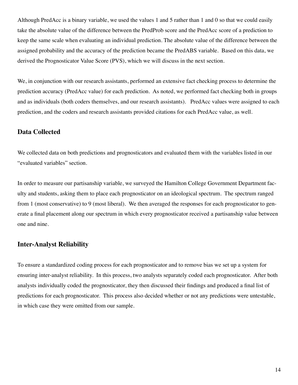Although PredAcc is a binary variable, we used the values 1 and 5 rather than 1 and 0 so that we could easily take the absolute value of the difference between the PredProb score and the PredAcc score of a prediction to keep the same scale when evaluating an individual prediction. The absolute value of the difference between the assigned probability and the accuracy of the prediction became the PredABS variable. Based on this data, we derived the Prognosticator Value Score (PVS), which we will discuss in the next section.

We, in conjunction with our research assistants, performed an extensive fact checking process to determine the prediction accuracy (PredAcc value) for each prediction. As noted, we performed fact checking both in groups and as individuals (both coders themselves, and our research assistants). PredAcc values were assigned to each prediction, and the coders and research assistants provided citations for each PredAcc value, as well.

#### **Data Collected**

We collected data on both predictions and prognosticators and evaluated them with the variables listed in our "evaluated variables" section.

In order to measure our partisanship variable, we surveyed the Hamilton College Government Department faculty and students, asking them to place each prognosticator on an ideological spectrum. The spectrum ranged from 1 (most conservative) to 9 (most liberal). We then averaged the responses for each prognosticator to generate a final placement along our spectrum in which every prognosticator received a partisanship value between one and nine.

#### **Inter-Analyst Reliability**

To ensure a standardized coding process for each prognosticator and to remove bias we set up a system for ensuring inter-analyst reliability. In this process, two analysts separately coded each prognosticator. After both analysts individually coded the prognosticator, they then discussed their findings and produced a final list of predictions for each prognosticator. This process also decided whether or not any predictions were untestable, in which case they were omitted from our sample.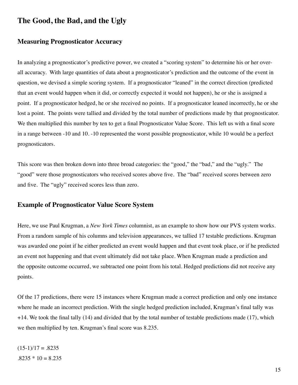# The Good, the Bad, and the Ugly

#### **Measuring Prognosticator Accuracy**

In analyzing a prognosticator's predictive power, we created a "scoring system" to determine his or her overall accuracy. With large quantities of data about a prognosticator's prediction and the outcome of the event in question, we devised a simple scoring system. If a prognosticator "leaned" in the correct direction (predicted that an event would happen when it did, or correctly expected it would not happen), he or she is assigned a point. If a prognosticator hedged, he or she received no points. If a prognosticator leaned incorrectly, he or she lost a point. The points were tallied and divided by the total number of predictions made by that prognosticator. We then multiplied this number by ten to get a final Prognosticator Value Score. This left us with a final score in a range between -10 and 10. -10 represented the worst possible prognosticator, while 10 would be a perfect prognosticators.

This score was then broken down into three broad categories: the "good," the "bad," and the "ugly." The "good" were those prognosticators who received scores above five. The "bad" received scores between zero and five. The "ugly" received scores less than zero.

#### **Example of Prognosticator Value Score System**

Here, we use Paul Krugman, a New York Times columnist, as an example to show how our PVS system works. From a random sample of his columns and television appearances, we tallied 17 testable predictions. Krugman was awarded one point if he either predicted an event would happen and that event took place, or if he predicted an event not happening and that event ultimately did not take place. When Krugman made a prediction and the opposite outcome occurred, we subtracted one point from his total. Hedged predictions did not receive any points.

Of the 17 predictions, there were 15 instances where Krugman made a correct prediction and only one instance where he made an incorrect prediction. With the single hedged prediction included, Krugman's final tally was  $+14$ . We took the final tally (14) and divided that by the total number of testable predictions made (17), which we then multiplied by ten. Krugman's final score was 8.235.

 $(15-1)/17 = .8235$  $.8235 * 10 = 8.235$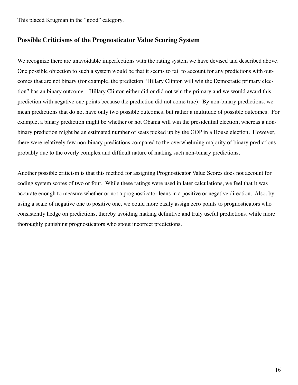This placed Krugman in the "good" category.

#### **Possible Criticisms of the Prognosticator Value Scoring System**

We recognize there are unavoidable imperfections with the rating system we have devised and described above. One possible objection to such a system would be that it seems to fail to account for any predictions with outcomes that are not binary (for example, the prediction "Hillary Clinton will win the Democratic primary election" has an binary outcome – Hillary Clinton either did or did not win the primary and we would award this prediction with negative one points because the prediction did not come true). By non-binary predictions, we mean predictions that do not have only two possible outcomes, but rather a multitude of possible outcomes. For example, a binary prediction might be whether or not Obama will win the presidential election, whereas a nonbinary prediction might be an estimated number of seats picked up by the GOP in a House election. However, there were relatively few non-binary predictions compared to the overwhelming majority of binary predictions, probably due to the overly complex and difficult nature of making such non-binary predictions.

Another possible criticism is that this method for assigning Prognosticator Value Scores does not account for coding system scores of two or four. While these ratings were used in later calculations, we feel that it was accurate enough to measure whether or not a prognosticator leans in a positive or negative direction. Also, by using a scale of negative one to positive one, we could more easily assign zero points to prognosticators who consistently hedge on predictions, thereby avoiding making definitive and truly useful predictions, while more thoroughly punishing prognosticators who spout incorrect predictions.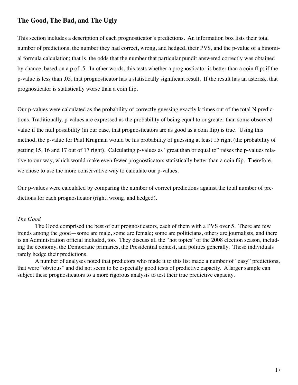## The Good, The Bad, and The Ugly

This section includes a description of each prognosticator's predictions. An information box lists their total number of predictions, the number they had correct, wrong, and hedged, their PVS, and the p-value of a binomial formula calculation; that is, the odds that the number that particular pundit answered correctly was obtained by chance, based on a p of .5. In other words, this tests whether a prognosticator is better than a coin flip; if the p-value is less than 0.05, that prognosticator has a statistically significant result. If the result has an asterisk, that prognosticator is statistically worse than a coin flip.

Our p-values were calculated as the probability of correctly guessing exactly k times out of the total N predictions. Traditionally, p-values are expressed as the probability of being equal to or greater than some observed value if the null possibility (in our case, that prognosticators are as good as a coin flip) is true. Using this method, the p-value for Paul Krugman would be his probability of guessing at least 15 right (the probability of getting 15, 16 and 17 out of 17 right). Calculating p-values as "great than or equal to" raises the p-values relative to our way, which would make even fewer prognosticators statistically better than a coin flip. Therefore, we chose to use the more conservative way to calculate our p-values.

Our p-values were calculated by comparing the number of correct predictions against the total number of predictions for each prognosticator (right, wrong, and hedged).

#### The Good

The Good comprised the best of our prognosticators, each of them with a PVS over 5. There are few trends among the good—some are male, some are female; some are politicians, others are journalists, and there is an Administration official included, too. They discuss all the "hot topics" of the 2008 election season, including the economy, the Democratic primaries, the Presidential contest, and politics generally. These individuals rarely hedge their predictions.

A number of analyses noted that predictors who made it to this list made a number of "easy" predictions, that were "obvious" and did not seem to be especially good tests of predictive capacity. A larger sample can subject these prognosticators to a more rigorous analysis to test their true predictive capacity.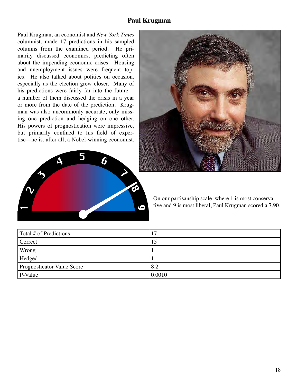#### **Paul Krugman**

Paul Krugman, an economist and New York Times columnist, made 17 predictions in his sampled columns from the examined period. He primarily discussed economics, predicting often about the impending economic crises. Housing and unemployment issues were frequent topics. He also talked about politics on occasion, especially as the election grew closer. Many of his predictions were fairly far into the future a number of them discussed the crisis in a year or more from the date of the prediction. Krugman was also uncommonly accurate, only missing one prediction and hedging on one other. His powers of prognostication were impressive, but primarily confined to his field of expertise—he is, after all, a Nobel-winning economist.





On our partisanship scale, where 1 is most conservative and 9 is most liberal, Paul Krugman scored a 7.90.

| Total # of Predictions     | 7 ا    |
|----------------------------|--------|
| Correct                    |        |
| Wrong                      |        |
| Hedged                     |        |
| Prognosticator Value Score | 8.2    |
| P-Value                    | 0.0010 |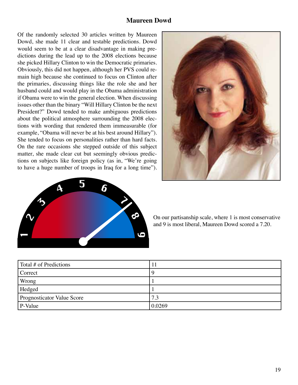#### **Maureen Dowd**

Of the randomly selected 30 articles written by Maureen Dowd, she made 11 clear and testable predictions. Dowd would seem to be at a clear disadvantage in making predictions during the lead up to the 2008 elections because she picked Hillary Clinton to win the Democratic primaries. Obviously, this did not happen, although her PVS could remain high because she continued to focus on Clinton after the primaries, discussing things like the role she and her husband could and would play in the Obama administration if Obama were to win the general election. When discussing issues other than the binary "Will Hillary Clinton be the next President?" Dowd tended to make ambiguous predictions about the political atmosphere surrounding the 2008 elections with wording that rendered them immeasurable (for example, "Obama will never be at his best around Hillary"). She tended to focus on personalities rather than hard facts. On the rare occasions she stepped outside of this subject matter, she made clear cut but seemingly obvious predictions on subjects like foreign policy (as in, "We're going to have a huge number of troops in Iraq for a long time").





On our partisanship scale, where 1 is most conservative and 9 is most liberal, Maureen Dowd scored a 7.20.

| Total # of Predictions            | 11     |
|-----------------------------------|--------|
| Correct                           | 9      |
| Wrong                             |        |
| Hedged                            |        |
| <b>Prognosticator Value Score</b> | 7.3    |
| P-Value                           | 0.0269 |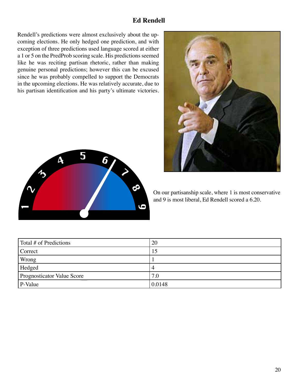# **Ed Rendell**

Rendell's predictions were almost exclusively about the upcoming elections. He only hedged one prediction, and with exception of three predictions used language scored at either a 1 or 5 on the PredProb scoring scale. His predictions seemed like he was reciting partisan rhetoric, rather than making genuine personal predictions; however this can be excused since he was probably compelled to support the Democrats in the upcoming elections. He was relatively accurate, due to his partisan identification and his party's ultimate victories.





On our partisanship scale, where 1 is most conservative and 9 is most liberal, Ed Rendell scored a 6.20.

| Total # of Predictions     | 20     |
|----------------------------|--------|
| Correct                    | 15     |
| Wrong                      |        |
| Hedged                     | 4      |
| Prognosticator Value Score | 7.0    |
| P-Value                    | 0.0148 |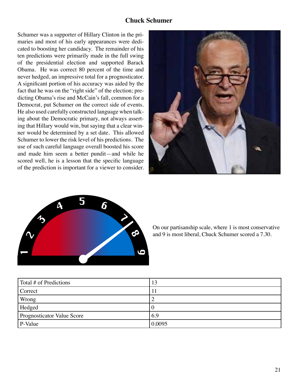## **Chuck Schumer**

Schumer was a supporter of Hillary Clinton in the primaries and most of his early appearances were dedicated to boosting her candidacy. The remainder of his ten predictions were primarily made in the full swing of the presidential election and supported Barack Obama. He was correct 80 percent of the time and never hedged, an impressive total for a prognosticator. A significant portion of his accuracy was aided by the fact that he was on the "right side" of the election; predicting Obama's rise and McCain's fall, common for a Democrat, put Schumer on the correct side of events. He also used carefully constructed language when talking about the Democratic primary, not always asserting that Hillary would win, but saying that a clear winner would be determined by a set date. This allowed Schumer to lower the risk level of his predictions. The use of such careful language overall boosted his score and made him seem a better pundit—and while he scored well, he is a lesson that the specific language of the prediction is important for a viewer to consider.





On our partisanship scale, where 1 is most conservative and 9 is most liberal, Chuck Schumer scored a 7.30.

| Total # of Predictions            | 13     |
|-----------------------------------|--------|
| Correct                           |        |
| Wrong                             | ∽      |
| Hedged                            |        |
| <b>Prognosticator Value Score</b> | 6.9    |
| P-Value                           | 0.0095 |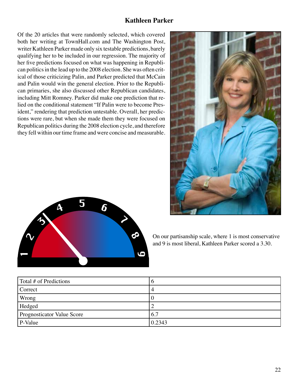#### **Kathleen Parker**

Of the 20 articles that were randomly selected, which covered both her writing at TownHall.com and The Washington Post, writer Kathleen Parker made only six testable predictions, barely qualifying her to be included in our regression. The majority of her five predictions focused on what was happening in Republican politics in the lead up to the 2008 election. She was often critical of those criticizing Palin, and Parker predicted that McCain and Palin would win the general election. Prior to the Republican primaries, she also discussed other Republican candidates, including Mitt Romney. Parker did make one prediction that relied on the conditional statement "If Palin were to become President," rendering that prediction untestable. Overall, her predictions were rare, but when she made them they were focused on Republican politics during the 2008 election cycle, and therefore they fell within our time frame and were concise and measurable.





On our partisanship scale, where 1 is most conservative and 9 is most liberal, Kathleen Parker scored a 3.30.

| Total # of Predictions            | v      |
|-----------------------------------|--------|
| Correct                           |        |
| Wrong                             |        |
| Hedged                            |        |
| <b>Prognosticator Value Score</b> | 6.7    |
| P-Value                           | 0.2343 |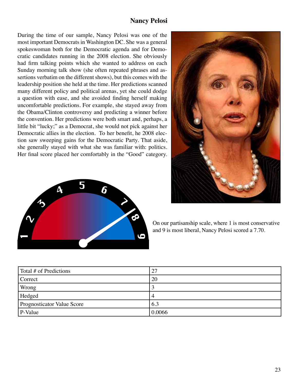## **Nancy Pelosi**

During the time of our sample, Nancy Pelosi was one of the most important Democrats in Washington DC. She was a general spokeswoman both for the Democratic agenda and for Democratic candidates running in the 2008 election. She obviously had firm talking points which she wanted to address on each Sunday morning talk show (she often repeated phrases and assertions verbatim on the different shows), but this comes with the leadership position she held at the time. Her predictions scanned many different policy and political arenas, yet she could dodge a question with ease, and she avoided finding herself making uncomfortable predictions. For example, she stayed away from the Obama/Clinton controversy and predicting a winner before the convention. Her predictions were both smart and, perhaps, a little bit "lucky;" as a Democrat, she would not pick against her Democratic allies in the election. To her benefit, he 2008 election saw sweeping gains for the Democratic Party. That aside, she generally stayed with what she was familiar with: politics. Her final score placed her comfortably in the "Good" category.





On our partisanship scale, where 1 is most conservative and 9 is most liberal, Nancy Pelosi scored a 7.70.

| Total # of Predictions            | 27     |
|-----------------------------------|--------|
| Correct                           | 20     |
| Wrong                             |        |
| Hedged                            | 4      |
| <b>Prognosticator Value Score</b> | 6.3    |
| P-Value                           | 0.0066 |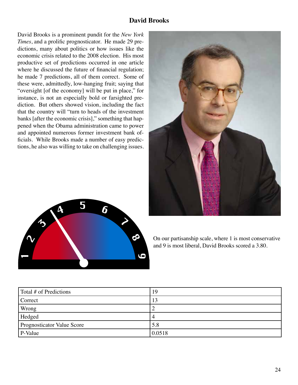## **David Brooks**

David Brooks is a prominent pundit for the New York Times, and a prolific prognosticator. He made 29 predictions, many about politics or how issues like the economic crisis related to the 2008 election. His most productive set of predictions occurred in one article where he discussed the future of financial regulation; he made 7 predictions, all of them correct. Some of these were, admittedly, low-hanging fruit; saying that "oversight [of the economy] will be put in place," for instance, is not an especially bold or farsighted prediction. But others showed vision, including the fact that the country will "turn to heads of the investment banks [after the economic crisis]," something that happened when the Obama administration came to power and appointed numerous former investment bank officials. While Brooks made a number of easy predictions, he also was willing to take on challenging issues.





On our partisanship scale, where 1 is most conservative and 9 is most liberal, David Brooks scored a 3.80.

| Total # of Predictions     | 19     |
|----------------------------|--------|
| Correct                    | 13     |
| Wrong                      |        |
| Hedged                     |        |
| Prognosticator Value Score | 5.8    |
| P-Value                    | 0.0518 |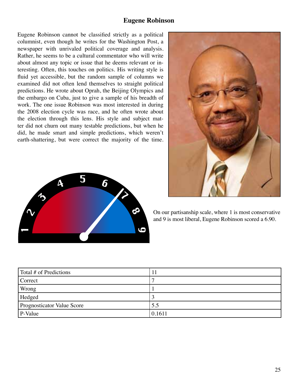#### **Eugene Robinson**

Eugene Robinson cannot be classified strictly as a political columnist, even though he writes for the Washington Post, a newspaper with unrivaled political coverage and analysis. Rather, he seems to be a cultural commentator who will write about almost any topic or issue that he deems relevant or interesting. Often, this touches on politics. His writing style is fluid yet accessible, but the random sample of columns we examined did not often lend themselves to straight political predictions. He wrote about Oprah, the Beijing Olympics and the embargo on Cuba, just to give a sample of his breadth of work. The one issue Robinson was most interested in during the 2008 election cycle was race, and he often wrote about the election through this lens. His style and subject matter did not churn out many testable predictions, but when he did, he made smart and simple predictions, which weren't earth-shattering, but were correct the majority of the time.





On our partisanship scale, where 1 is most conservative and 9 is most liberal, Eugene Robinson scored a 6.90.

| Total # of Predictions     |        |
|----------------------------|--------|
| Correct                    |        |
| Wrong                      |        |
| Hedged                     |        |
| Prognosticator Value Score | 5.5    |
| P-Value                    | 0.1611 |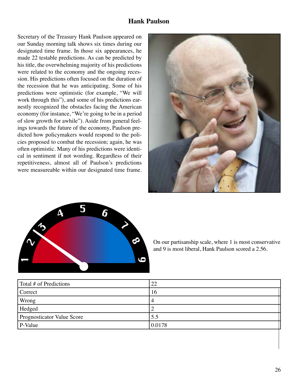#### **Hank Paulson**

Secretary of the Treasury Hank Paulson appeared on our Sunday morning talk shows six times during our designated time frame. In those six appearances, he made 22 testable predictions. As can be predicted by his title, the overwhelming majority of his predictions were related to the economy and the ongoing recession. His predictions often focused on the duration of the recession that he was anticipating. Some of his predictions were optimistic (for example, "We will work through this"), and some of his predictions earnestly recognized the obstacles facing the American economy (for instance, "We're going to be in a period of slow growth for awhile"). Aside from general feelings towards the future of the economy, Paulson predicted how policymakers would respond to the policies proposed to combat the recession; again, he was often optimistic. Many of his predictions were identical in sentiment if not wording. Regardless of their repetitiveness, almost all of Paulson's predictions were measureable within our designated time frame.





On our partisanship scale, where 1 is most conservative and 9 is most liberal, Hank Paulson scored a 2.56.

| Total # of Predictions     | 22     |
|----------------------------|--------|
| Correct                    | 16     |
| Wrong                      | 4      |
| Hedged                     |        |
| Prognosticator Value Score | 5.5    |
| P-Value                    | 0.0178 |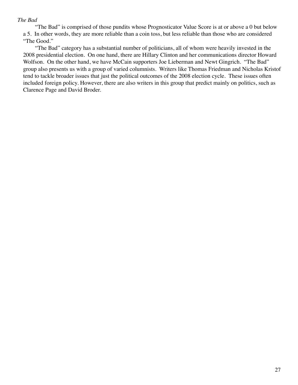#### The Bad

"The Bad" is comprised of those pundits whose Prognosticator Value Score is at or above a 0 but below a 5. In other words, they are more reliable than a coin toss, but less reliable than those who are considered "The Good."

"The Bad" category has a substantial number of politicians, all of whom were heavily invested in the 2008 presidential election. On one hand, there are Hillary Clinton and her communications director Howard Wolfson. On the other hand, we have McCain supporters Joe Lieberman and Newt Gingrich. "The Bad" group also presents us with a group of varied columnists. Writers like Thomas Friedman and Nicholas Kristof tend to tackle broader issues that just the political outcomes of the 2008 election cycle. These issues often included foreign policy. However, there are also writers in this group that predict mainly on politics, such as Clarence Page and David Broder.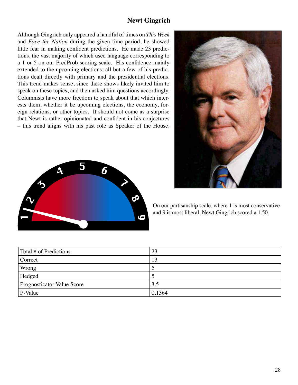#### **Newt Gingrich**

Although Gingrich only appeared a handful of times on This Week and *Face the Nation* during the given time period, he showed little fear in making confident predictions. He made 23 predictions, the vast majority of which used language corresponding to a 1 or 5 on our PredProb scoring scale. His confidence mainly extended to the upcoming elections; all but a few of his predictions dealt directly with primary and the presidential elections. This trend makes sense, since these shows likely invited him to speak on these topics, and then asked him questions accordingly. Columnists have more freedom to speak about that which interests them, whether it be upcoming elections, the economy, foreign relations, or other topics. It should not come as a surprise that Newt is rather opinionated and confident in his conjectures - this trend aligns with his past role as Speaker of the House.





On our partisanship scale, where 1 is most conservative and 9 is most liberal, Newt Gingrich scored a 1.50.

| Total # of Predictions     | 23     |
|----------------------------|--------|
| Correct                    | 13     |
| Wrong                      |        |
| Hedged                     |        |
| Prognosticator Value Score | 3.5    |
| P-Value                    | 0.1364 |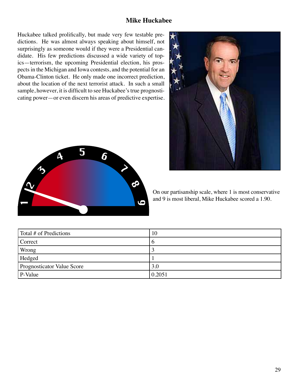#### **Mike Huckabee**

Huckabee talked prolifically, but made very few testable predictions. He was almost always speaking about himself, not surprisingly as someone would if they were a Presidential candidate. His few predictions discussed a wide variety of topics—terrorism, the upcoming Presidential election, his prospects in the Michigan and Iowa contests, and the potential for an Obama-Clinton ticket. He only made one incorrect prediction, about the location of the next terrorist attack. In such a small sample, however, it is difficult to see Huckabee's true prognosticating power—or even discern his areas of predictive expertise.





On our partisanship scale, where 1 is most conservative and 9 is most liberal, Mike Huckabee scored a 1.90.

| Total # of Predictions     | 10            |
|----------------------------|---------------|
| Correct                    | $\mathfrak b$ |
| Wrong                      |               |
| Hedged                     |               |
| Prognosticator Value Score | 3.0           |
| P-Value                    | 0.2051        |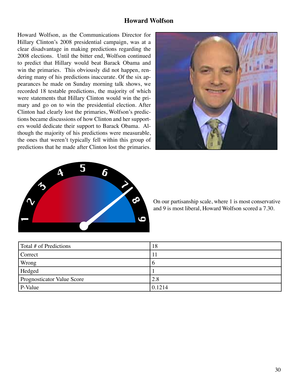#### **Howard Wolfson**

Howard Wolfson, as the Communications Director for Hillary Clinton's 2008 presidential campaign, was at a clear disadvantage in making predictions regarding the 2008 elections. Until the bitter end, Wolfson continued to predict that Hillary would beat Barack Obama and win the primaries. This obviously did not happen, rendering many of his predictions inaccurate. Of the six appearances he made on Sunday morning talk shows, we recorded 18 testable predictions, the majority of which were statements that Hillary Clinton would win the primary and go on to win the presidential election. After Clinton had clearly lost the primaries, Wolfson's predictions became discussions of how Clinton and her supporters would dedicate their support to Barack Obama. Although the majority of his predictions were measurable, the ones that weren't typically fell within this group of predictions that he made after Clinton lost the primaries.





On our partisanship scale, where 1 is most conservative and 9 is most liberal, Howard Wolfson scored a 7.30.

| Total # of Predictions     | 18     |
|----------------------------|--------|
| Correct                    | 11     |
| Wrong                      | O      |
| Hedged                     |        |
| Prognosticator Value Score | 2.8    |
| P-Value                    | 0.1214 |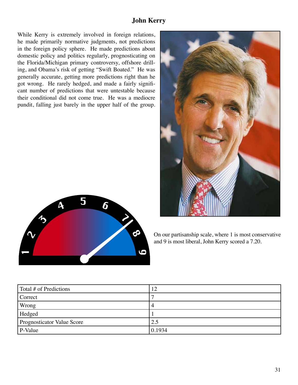## **John Kerry**

While Kerry is extremely involved in foreign relations, he made primarily normative judgments, not predictions in the foreign policy sphere. He made predictions about domestic policy and politics regularly, prognosticating on the Florida/Michigan primary controversy, offshore drilling, and Obama's risk of getting "Swift Boated." He was generally accurate, getting more predictions right than he got wrong. He rarely hedged, and made a fairly significant number of predictions that were untestable because their conditional did not come true. He was a mediocre pundit, falling just barely in the upper half of the group.





On our partisanship scale, where 1 is most conservative and 9 is most liberal, John Kerry scored a 7.20.

| Total # of Predictions     | 12     |
|----------------------------|--------|
| Correct                    |        |
| Wrong                      | 4      |
| Hedged                     |        |
| Prognosticator Value Score | 2.5    |
| P-Value                    | 0.1934 |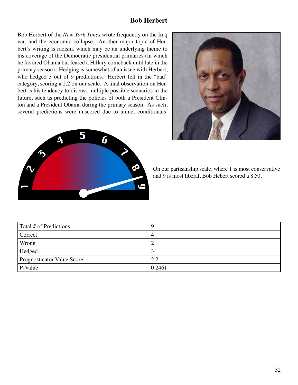#### **Bob Herbert**

Bob Herbert of the New York Times wrote frequently on the Iraq war and the economic collapse. Another major topic of Herbert's writing is racism, which may be an underlying theme to his coverage of the Democratic presidential primaries (in which he favored Obama but feared a Hillary comeback until late in the primary season). Hedging is somewhat of an issue with Herbert, who hedged 3 out of 9 predictions. Herbert fell in the "bad" category, scoring a 2.2 on our scale. A final observation on Herbert is his tendency to discuss multiple possible scenarios in the future, such as predicting the policies of both a President Clinton and a President Obama during the primary season. As such, several predictions were unscored due to unmet conditionals.





On our partisanship scale, where 1 is most conservative and 9 is most liberal, Bob Hebert scored a 8.50.

| Total # of Predictions     |        |
|----------------------------|--------|
| Correct                    |        |
| Wrong                      |        |
| Hedged                     |        |
| Prognosticator Value Score | 2.2    |
| P-Value                    | 0.2461 |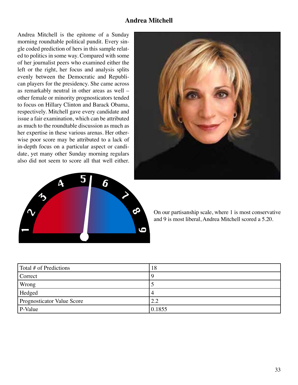#### **Andrea Mitchell**

Andrea Mitchell is the epitome of a Sunday morning roundtable political pundit. Every single coded prediction of hers in this sample related to politics in some way. Compared with some of her journalist peers who examined either the left or the right, her focus and analysis splits evenly between the Democratic and Republican players for the presidency. She came across as remarkably neutral in other areas as well other female or minority prognosticators tended to focus on Hillary Clinton and Barack Obama, respectively. Mitchell gave every candidate and issue a fair examination, which can be attributed as much to the roundtable discussion as much as her expertise in these various arenas. Her otherwise poor score may be attributed to a lack of in-depth focus on a particular aspect or candidate, yet many other Sunday morning regulars also did not seem to score all that well either.





On our partisanship scale, where 1 is most conservative and 9 is most liberal. Andrea Mitchell scored a 5.20.

| Total # of Predictions     | 18     |
|----------------------------|--------|
| Correct                    |        |
| Wrong                      |        |
| Hedged                     | 4      |
| Prognosticator Value Score | 2.2    |
| P-Value                    | 0.1855 |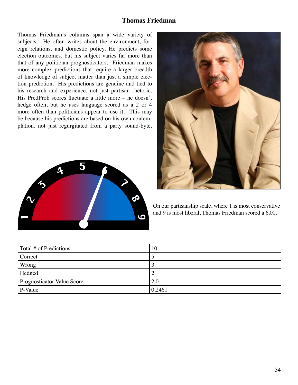#### **Thomas Friedman**

Thomas Friedman's columns span a wide variety of subjects. He often writes about the environment, foreign relations, and domestic policy. He predicts some election outcomes, but his subject varies far more than that of any politician prognosticators. Friedman makes more complex predictions that require a larger breadth of knowledge of subject matter than just a simple election prediction. His predictions are genuine and tied to his research and experience, not just partisan rhetoric. His PredProb scores fluctuate a little more – he doesn't hedge often, but he uses language scored as a 2 or 4 more often than politicians appear to use it. This may be because his predictions are based on his own contemplation, not just regurgitated from a party sound-byte.





On our partisanship scale, where 1 is most conservative and 9 is most liberal, Thomas Friedman scored a 6.00.

| Total # of Predictions            | 10     |
|-----------------------------------|--------|
| Correct                           |        |
| Wrong                             |        |
| Hedged                            | ∸      |
| <b>Prognosticator Value Score</b> | 2.0    |
| P-Value                           | 0.2461 |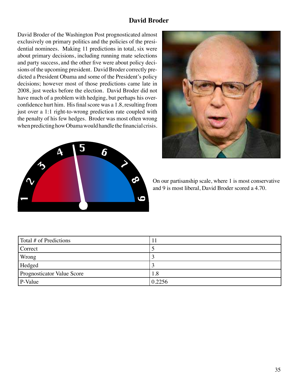## **David Broder**

David Broder of the Washington Post prognosticated almost exclusively on primary politics and the policies of the presidential nominees. Making 11 predictions in total, six were about primary decisions, including running mate selections and party success, and the other five were about policy decisions of the upcoming president. David Broder correctly predicted a President Obama and some of the President's policy decisions; however most of those predictions came late in 2008, just weeks before the election. David Broder did not have much of a problem with hedging, but perhaps his overconfidence hurt him. His final score was a 1.8, resulting from just over a 1:1 right-to-wrong prediction rate coupled with the penalty of his few hedges. Broder was most often wrong when predicting how Obama would handle the financial crisis.





On our partisanship scale, where 1 is most conservative and 9 is most liberal, David Broder scored a 4.70.

| Total # of Predictions             |        |
|------------------------------------|--------|
| Correct                            |        |
| Wrong                              |        |
| Hedged                             |        |
| <b>Prognosticator Value Score</b>  | 1.8    |
| $\mathsf{P}\text{-}\mathsf{Value}$ | 0.2256 |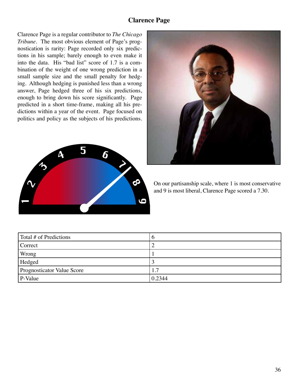#### **Clarence Page**

Clarence Page is a regular contributor to The Chicago Tribune. The most obvious element of Page's prognostication is rarity: Page recorded only six predictions in his sample; barely enough to even make it into the data. His "bad list" score of 1.7 is a combination of the weight of one wrong prediction in a small sample size and the small penalty for hedging. Although hedging is punished less than a wrong answer, Page hedged three of his six predictions, enough to bring down his score significantly. Page predicted in a short time-frame, making all his predictions within a year of the event. Page focused on politics and policy as the subjects of his predictions.





On our partisanship scale, where 1 is most conservative and 9 is most liberal, Clarence Page scored a 7.30.

| Total # of Predictions            | v      |
|-----------------------------------|--------|
| Correct                           |        |
| Wrong                             |        |
| Hedged                            |        |
| <b>Prognosticator Value Score</b> |        |
| $P-Value$                         | 0.2344 |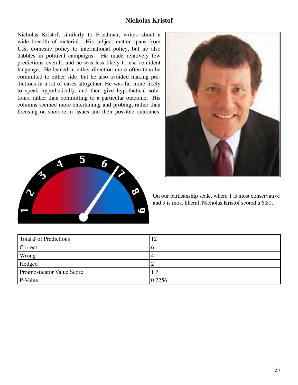#### **Nicholas Kristof**

Nicholas Kristof, similarly to Friedman, writes about a wide breadth of material. His subject matter spans from U.S. domestic policy to international policy, but he also dabbles in political campaigns. He made relatively few predictions overall, and he was less likely to use confident language. He leaned in either direction more often than he committed to either side, but he also avoided making predictions in a lot of cases altogether. He was far more likely to speak hypothetically, and then give hypothetical solutions, rather than committing to a particular outcome. His columns seemed more entertaining and probing, rather than focusing on short term issues and their possible outcomes.





On our partisanship scale, where 1 is most conservative and 9 is most liberal, Nicholas Kristof scored a 6.80.

| Total # of Predictions     | 12     |
|----------------------------|--------|
| Correct                    | O      |
| Wrong                      |        |
| Hedged                     |        |
| Prognosticator Value Score | . 7    |
| P-Value                    | 0.2256 |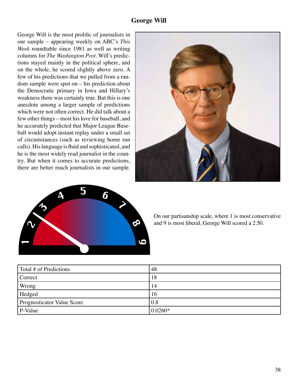George Will is the most prolific of journalists in our sample – appearing weekly on ABC's This Week roundtable since 1981 as well as writing columns for The Washington Post. Will's predictions stayed mainly in the political sphere, and on the whole, he scored slightly above zero. A few of his predictions that we pulled from a ran $dom$  sample were spot on  $-$  his prediction about the Democratic primary in Iowa and Hillary's weakness there was certainly true. But this is one anecdote among a larger sample of predictions which were not often correct. He did talk about a few other things – most his love for baseball, and he accurately predicted that Major League Baseball would adopt instant replay under a small set of circumstances (such as reviewing home run calls). His language is fluid and sophisticated, and he is the most widely read journalist in the country. But when it comes to accurate predictions, there are better much journalists in our sample.





On our partisanship scale, where 1 is most conservative and 9 is most liberal, George Will scored a 2.50.

| Total # of Predictions     | 48        |
|----------------------------|-----------|
| Correct                    | 18        |
| Wrong                      | 14        |
| Hedged                     | 16        |
| Prognosticator Value Score | 0.8       |
| P-Value                    | $0.0260*$ |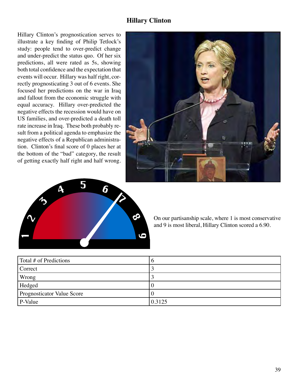#### **Hillary Clinton**

Hillary Clinton's prognostication serves to illustrate a key finding of Philip Tetlock's study: people tend to over-predict change and under-predict the status quo. Of her six predictions, all were rated as 5s, showing both total confidence and the expectation that events will occur. Hillary was half right, correctly prognosticating 3 out of 6 events. She focused her predictions on the war in Iraq and fallout from the economic struggle with equal accuracy. Hillary over-predicted the negative effects the recession would have on US families, and over-predicted a death toll rate increase in Iraq. These both probably result from a political agenda to emphasize the negative effects of a Republican administration. Clinton's final score of 0 places her at the bottom of the "bad" category, the result of getting exactly half right and half wrong.





On our partisanship scale, where 1 is most conservative and 9 is most liberal, Hillary Clinton scored a 6.90.

| Total # of Predictions     | O      |
|----------------------------|--------|
| Correct                    |        |
| Wrong                      |        |
| Hedged                     |        |
| Prognosticator Value Score |        |
| P-Value                    | 0.3125 |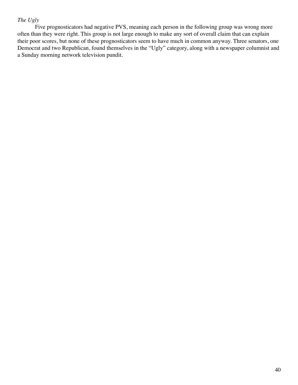#### The Ugly

Five prognosticators had negative PVS, meaning each person in the following group was wrong more often than they were right. This group is not large enough to make any sort of overall claim that can explain their poor scores, but none of these prognosticators seem to have much in common anyway. Three senators, one Democrat and two Republican, found themselves in the "Ugly" category, along with a newspaper columnist and a Sunday morning network television pundit.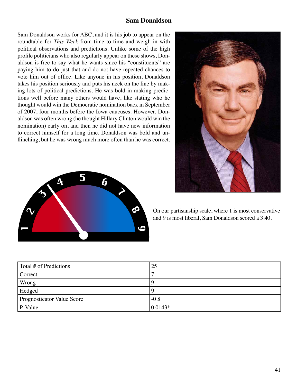#### **Sam Donaldson**

Sam Donaldson works for ABC, and it is his job to appear on the roundtable for This Week from time to time and weigh in with political observations and predictions. Unlike some of the high profile politicians who also regularly appear on these shows, Donaldson is free to say what he wants since his "constituents" are paying him to do just that and do not have repeated chances to vote him out of office. Like anyone in his position, Donaldson takes his position seriously and puts his neck on the line by making lots of political predictions. He was bold in making predictions well before many others would have, like stating who he thought would win the Democratic nomination back in September of 2007, four months before the Iowa caucuses. However, Donaldson was often wrong (he thought Hillary Clinton would win the nomination) early on, and then he did not have new information to correct himself for a long time. Donaldson was bold and unflinching, but he was wrong much more often than he was correct.





On our partisanship scale, where 1 is most conservative and 9 is most liberal. Sam Donaldson scored a 3.40.

| Total # of Predictions            | 25         |
|-----------------------------------|------------|
| Correct                           |            |
| Wrong                             | Ч          |
| Hedged                            | 9          |
| <b>Prognosticator Value Score</b> | $-0.8$     |
| P-Value                           | $ 0.0143*$ |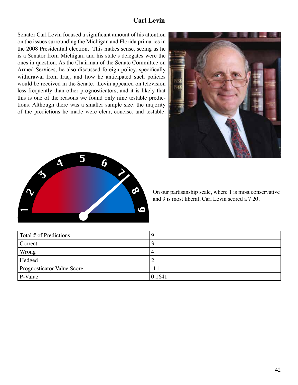# **Carl Levin**

Senator Carl Levin focused a significant amount of his attention on the issues surrounding the Michigan and Florida primaries in the 2008 Presidential election. This makes sense, seeing as he is a Senator from Michigan, and his state's delegates were the ones in question. As the Chairman of the Senate Committee on Armed Services, he also discussed foreign policy, specifically withdrawal from Iraq, and how he anticipated such policies would be received in the Senate. Levin appeared on television less frequently than other prognosticators, and it is likely that this is one of the reasons we found only nine testable predictions. Although there was a smaller sample size, the majority of the predictions he made were clear, concise, and testable.





On our partisanship scale, where 1 is most conservative and 9 is most liberal, Carl Levin scored a 7.20.

| Total # of Predictions     |        |
|----------------------------|--------|
| Correct                    |        |
| Wrong                      | 4      |
| Hedged                     |        |
| Prognosticator Value Score | $-1.1$ |
| P-Value                    | 0.1641 |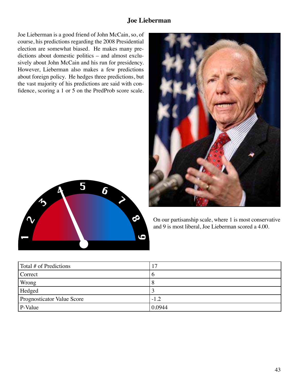## **Joe Lieberman**

Joe Lieberman is a good friend of John McCain, so, of course, his predictions regarding the 2008 Presidential election are somewhat biased. He makes many predictions about domestic politics – and almost exclusively about John McCain and his run for presidency. However, Lieberman also makes a few predictions about foreign policy. He hedges three predictions, but the vast majority of his predictions are said with confidence, scoring a 1 or 5 on the PredProb score scale.





On our partisanship scale, where 1 is most conservative and 9 is most liberal, Joe Lieberman scored a 4.00.

| Total # of Predictions            | 17     |
|-----------------------------------|--------|
| Correct                           | O      |
| Wrong                             | Ω      |
| Hedged                            |        |
| <b>Prognosticator Value Score</b> | $-1.2$ |
| P-Value                           | 0.0944 |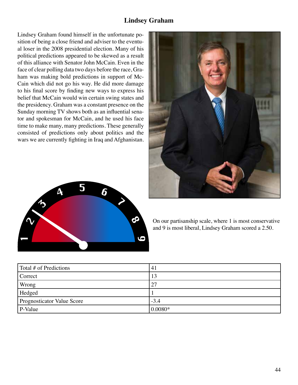## **Lindsey Graham**

Lindsey Graham found himself in the unfortunate position of being a close friend and adviser to the eventual loser in the 2008 presidential election. Many of his political predictions appeared to be skewed as a result of this alliance with Senator John McCain. Even in the face of clear polling data two days before the race, Graham was making bold predictions in support of Mc-Cain which did not go his way. He did more damage to his final score by finding new ways to express his belief that McCain would win certain swing states and the presidency. Graham was a constant presence on the Sunday morning TV shows both as an influential senator and spokesman for McCain, and he used his face time to make many, many predictions. These generally consisted of predictions only about politics and the wars we are currently fighting in Iraq and Afghanistan.





On our partisanship scale, where 1 is most conservative and 9 is most liberal, Lindsey Graham scored a 2.50.

| Total # of Predictions     | $\left(4\right)$ |
|----------------------------|------------------|
| Correct                    | 13               |
| Wrong                      | 27               |
| Hedged                     |                  |
| Prognosticator Value Score | $-3.4$           |
| P-Value                    | $ 0.0080*$       |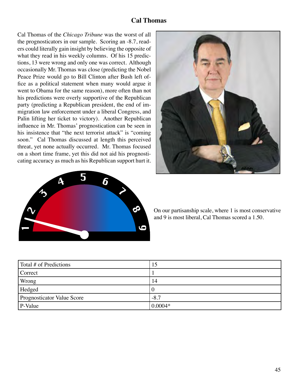#### **Cal Thomas**

Cal Thomas of the Chicago Tribune was the worst of all the prognosticators in our sample. Scoring an -8.7, readers could literally gain insight by believing the opposite of what they read in his weekly columns. Of his 15 predictions, 13 were wrong and only one was correct. Although occasionally Mr. Thomas was close (predicting the Nobel Peace Prize would go to Bill Clinton after Bush left office as a political statement when many would argue it went to Obama for the same reason), more often than not his predictions were overly supportive of the Republican party (predicting a Republican president, the end of immigration law enforcement under a liberal Congress, and Palin lifting her ticket to victory). Another Republican influence in Mr. Thomas' prognostication can be seen in his insistence that "the next terrorist attack" is "coming soon." Cal Thomas discussed at length this perceived threat, yet none actually occurred. Mr. Thomas focused on a short time frame, yet this did not aid his prognosticating accuracy as much as his Republican support hurt it.





On our partisanship scale, where 1 is most conservative and 9 is most liberal, Cal Thomas scored a 1.50.

| Total # of Predictions            | 15        |
|-----------------------------------|-----------|
| Correct                           |           |
| Wrong                             | 14        |
| Hedged                            | U         |
| <b>Prognosticator Value Score</b> | $-8.7$    |
| P-Value                           | $0.0004*$ |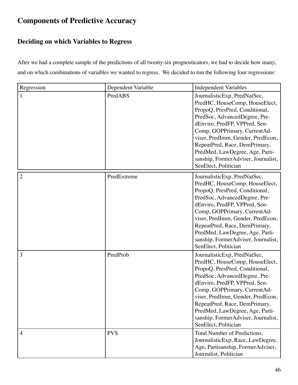# **Components of Predictive Accuracy**

# **Deciding on which Variables to Regress**

After we had a complete sample of the predictions of all twenty-six prognosticators, we had to decide how many, and on which combinations of variables we wanted to regress. We decided to run the following four regressions:

| Regression     | Dependent Variable | <b>Independent Variables</b>                                                                                                                                                                                                                                                                                                                                               |
|----------------|--------------------|----------------------------------------------------------------------------------------------------------------------------------------------------------------------------------------------------------------------------------------------------------------------------------------------------------------------------------------------------------------------------|
| 1              | PredABS            | JournalisticExp, PredNatSec,<br>PredHC, HouseComp, HouseElect,<br>PropoQ, PresPred, Conditional,<br>PredSoc, AdvancedDegree, Pre-<br>dEnviro, PredFP, VPPred, Sen-<br>Comp, GOPPrimary, CurrentAd-<br>viser, PredImm, Gender, PredEcon,<br>RepeatPred, Race, DemPrimary,<br>PredMed, LawDegree, Age, Parti-<br>sanship, FormerAdviser, Journalist,<br>SenElect, Politician |
| $\overline{2}$ | PredExtreme        | JournalisticExp, PredNatSec,<br>PredHC, HouseComp, HouseElect,<br>PropoQ, PresPred, Conditional,<br>PredSoc, AdvancedDegree, Pre-<br>dEnviro, PredFP, VPPred, Sen-<br>Comp, GOPPrimary, CurrentAd-<br>viser, PredImm, Gender, PredEcon,<br>RepeatPred, Race, DemPrimary,<br>PredMed, LawDegree, Age, Parti-<br>sanship, FormerAdviser, Journalist,<br>SenElect, Politician |
| 3              | PredProb           | JournalisticExp, PredNatSec,<br>PredHC, HouseComp, HouseElect,<br>PropoQ, PresPred, Conditional,<br>PredSoc, AdvancedDegree, Pre-<br>dEnviro, PredFP, VPPred, Sen-<br>Comp, GOPPrimary, CurrentAd-<br>viser, PredImm, Gender, PredEcon,<br>RepeatPred, Race, DemPrimary,<br>PredMed, LawDegree, Age, Parti-<br>sanship, FormerAdviser, Journalist,<br>SenElect, Politician |
| $\overline{4}$ | <b>PVS</b>         | Total Number of Predictions,<br>JournalisticExp, Race, LawDegree,<br>Age, Partisanship, FormerAdviser,<br>Journalist, Politician                                                                                                                                                                                                                                           |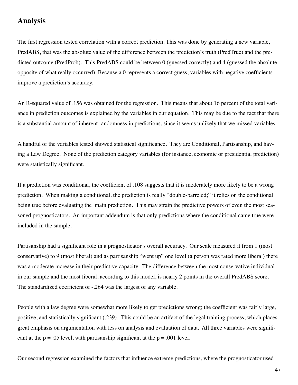# **Analysis**

The first regression tested correlation with a correct prediction. This was done by generating a new variable, PredABS, that was the absolute value of the difference between the prediction's truth (PredTrue) and the predicted outcome (PredProb). This PredABS could be between 0 (guessed correctly) and 4 (guessed the absolute opposite of what really occurred). Because a 0 represents a correct guess, variables with negative coefficients improve a prediction's accuracy.

An R-squared value of .156 was obtained for the regression. This means that about 16 percent of the total variance in prediction outcomes is explained by the variables in our equation. This may be due to the fact that there is a substantial amount of inherent randomness in predictions, since it seems unlikely that we missed variables.

A handful of the variables tested showed statistical significance. They are Conditional, Partisanship, and having a Law Degree. None of the prediction category variables (for instance, economic or presidential prediction) were statistically significant.

If a prediction was conditional, the coefficient of .108 suggests that it is moderately more likely to be a wrong prediction. When making a conditional, the prediction is really "double-barreled;" it relies on the conditional being true before evaluating the main prediction. This may strain the predictive powers of even the most seasoned prognosticators. An important addendum is that only predictions where the conditional came true were included in the sample.

Partisanship had a significant role in a prognosticator's overall accuracy. Our scale measured it from 1 (most conservative) to 9 (most liberal) and as partisanship "went up" one level (a person was rated more liberal) there was a moderate increase in their predictive capacity. The difference between the most conservative individual in our sample and the most liberal, according to this model, is nearly 2 points in the overall PredABS score. The standardized coefficient of -.264 was the largest of any variable.

People with a law degree were somewhat more likely to get predictions wrong; the coefficient was fairly large, positive, and statistically significant (.239). This could be an artifact of the legal training process, which places great emphasis on argumentation with less on analysis and evaluation of data. All three variables were significant at the  $p = .05$  level, with partisanship significant at the  $p = .001$  level.

Our second regression examined the factors that influence extreme predictions, where the prognosticator used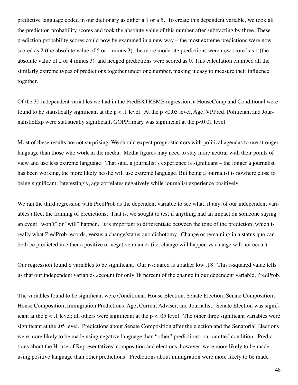predictive language coded in our dictionary as either a 1 or a 5. To create this dependent variable, we took all the prediction probability scores and took the absolute value of this number after subtracting by three. These prediction probability scores could now be examined in a new way – the most extreme predictions were now scored as 2 (the absolute value of 5 or 1 minus 3), the more moderate predictions were now scored as 1 (the absolute value of 2 or 4 minus 3) and hedged predictions were scored as 0. This calculation clumped all the similarly extreme types of predictions together under one number, making it easy to measure their influence together.

Of the 30 independent variables we had in the PredEXTREME regression, a HouseComp and Conditional were found to be statistically significant at the  $p < 0.1$  level. At the  $p < 0.05$  level, Age, VPPred, Politician, and JournalisticExp were statistically significant. GOPPrimary was significant at the p<0.01 level.

Most of these results are not surprising. We should expect prognosticators with political agendas to use stronger language than those who work in the media. Media figures may need to stay more neutral with their points of view and use less extreme language. That said, a journalist's experience is significant – the longer a journalist has been working, the more likely he/she will use extreme language. But being a journalist is nowhere close to being significant. Interestingly, age correlates negatively while journalist experience positively.

We ran the third regression with PredProb as the dependent variable to see what, if any, of our independent variables affect the framing of predictions. That is, we sought to test if anything had an impact on someone saying an event "won't" or "will" happen. It is important to differentiate between the tone of the prediction, which is really what PredProb records, versus a change/status quo dichotomy. Change or remaining in a status quo can both be predicted in either a positive or negative manner (i.e. change will happen vs change will not occur).

Our regression found 8 variables to be significant. Our r-squared is a rather low .18. This r-squared value tells us that our independent variables account for only 18 percent of the change in our dependent variable, PredProb.

The variables found to be significant were Conditional, House Election, Senate Election, Senate Composition, House Composition, Immigration Predictions, Age, Current Adviser, and Journalist. Senate Election was significant at the  $p < 0.1$  level; all others were significant at the  $p < 0.05$  level. The other three significant variables were significant at the .05 level. Predictions about Senate Composition after the election and the Senatorial Elections were more likely to be made using negative language than "other" predictions, our omitted condition. Predictions about the House of Representatives' composition and elections, however, were more likely to be made using positive language than other predictions. Predictions about immigration were more likely to be made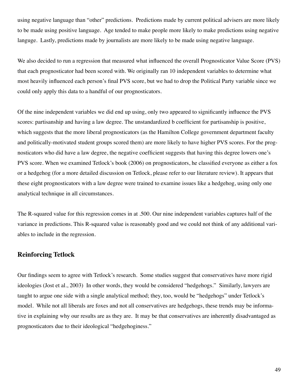using negative language than "other" predictions. Predictions made by current political advisers are more likely to be made using positive language. Age tended to make people more likely to make predictions using negative languge. Lastly, predictions made by journalists are more likely to be made using negative language.

We also decided to run a regression that measured what influenced the overall Prognosticator Value Score (PVS) that each prognosticator had been scored with. We originally ran 10 independent variables to determine what most heavily influenced each person's final PVS score, but we had to drop the Political Party variable since we could only apply this data to a handful of our prognosticators.

Of the nine independent variables we did end up using, only two appeared to significantly influence the PVS scores: partisanship and having a law degree. The unstandardized b coefficient for partisanship is positive, which suggests that the more liberal prognosticators (as the Hamilton College government department faculty and politically-motivated student groups scored them) are more likely to have higher PVS scores. For the prognosticators who did have a law degree, the negative coefficient suggests that having this degree lowers one's PVS score. When we examined Tetlock's book (2006) on prognosticators, he classified everyone as either a fox or a hedgehog (for a more detailed discussion on Tetlock, please refer to our literature review). It appears that these eight prognosticators with a law degree were trained to examine issues like a hedgehog, using only one analytical technique in all circumstances.

The R-squared value for this regression comes in at .500. Our nine independent variables captures half of the variance in predictions. This R-squared value is reasonably good and we could not think of any additional variables to include in the regression.

#### **Reinforcing Tetlock**

Our findings seem to agree with Tetlock's research. Some studies suggest that conservatives have more rigid ideologies (Jost et al., 2003) In other words, they would be considered "hedgehogs." Similarly, lawyers are taught to argue one side with a single analytical method; they, too, would be "hedgehogs" under Tetlock's model. While not all liberals are foxes and not all conservatives are hedgehogs, these trends may be informative in explaining why our results are as they are. It may be that conservatives are inherently disadvantaged as prognosticators due to their ideological "hedgehoginess."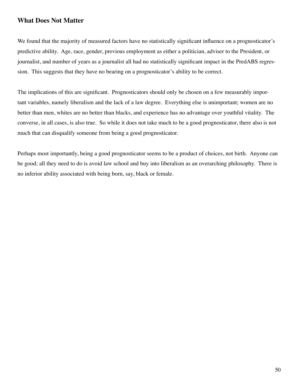#### **What Does Not Matter**

We found that the majority of measured factors have no statistically significant influence on a prognosticator's predictive ability. Age, race, gender, previous employment as either a politician, adviser to the President, or journalist, and number of years as a journalist all had no statistically significant impact in the PredABS regression. This suggests that they have no bearing on a prognosticator's ability to be correct.

The implications of this are significant. Prognosticators should only be chosen on a few measurably important variables, namely liberalism and the lack of a law degree. Everything else is unimportant; women are no better than men, whites are no better than blacks, and experience has no advantage over youthful vitality. The converse, in all cases, is also true. So while it does not take much to be a good prognosticator, there also is not much that can disqualify someone from being a good prognosticator.

Perhaps most importantly, being a good prognosticator seems to be a product of choices, not birth. Anyone can be good; all they need to do is avoid law school and buy into liberalism as an overarching philosophy. There is no inferior ability associated with being born, say, black or female.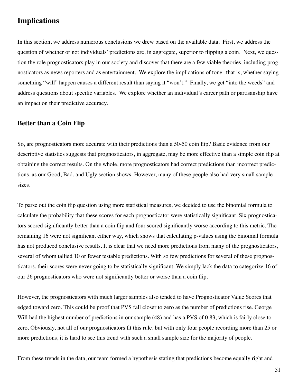# **Implications**

In this section, we address numerous conclusions we drew based on the available data. First, we address the question of whether or not individuals' predictions are, in aggregate, superior to flipping a coin. Next, we question the role prognosticators play in our society and discover that there are a few viable theories, including prognosticators as news reporters and as entertainment. We explore the implications of tone--that is, whether saying something "will" happen causes a different result than saying it "won't." Finally, we get "into the weeds" and address questions about specific variables. We explore whether an individual's career path or partisanship have an impact on their predictive accuracy.

#### **Better than a Coin Flip**

So, are prognosticators more accurate with their predictions than a 50-50 coin flip? Basic evidence from our descriptive statistics suggests that prognosticators, in aggregate, may be more effective than a simple coin flip at obtaining the correct results. On the whole, more prognosticators had correct predictions than incorrect predictions, as our Good, Bad, and Ugly section shows. However, many of these people also had very small sample sizes.

To parse out the coin flip question using more statistical measures, we decided to use the binomial formula to calculate the probability that these scores for each prognosticator were statistically significant. Six prognosticators scored significantly better than a coin flip and four scored significantly worse according to this metric. The remaining 16 were not significant either way, which shows that calculating p-values using the binomial formula has not produced conclusive results. It is clear that we need more predictions from many of the prognosticators, several of whom tallied 10 or fewer testable predictions. With so few predictions for several of these prognosticators, their scores were never going to be statistically significant. We simply lack the data to categorize 16 of our 26 prognosticators who were not significantly better or worse than a coin flip.

However, the prognosticators with much larger samples also tended to have Prognosticator Value Scores that edged toward zero. This could be proof that PVS fall closer to zero as the number of predictions rise. George Will had the highest number of predictions in our sample (48) and has a PVS of 0.83, which is fairly close to zero. Obviously, not all of our prognosticators fit this rule, but with only four people recording more than 25 or more predictions, it is hard to see this trend with such a small sample size for the majority of people.

From these trends in the data, our team formed a hypothesis stating that predictions become equally right and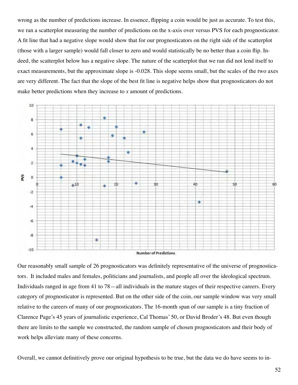wrong as the number of predictions increase. In essence, flipping a coin would be just as accurate. To test this, we ran a scatterplot measuring the number of predictions on the x-axis over versus PVS for each prognosticator. A fit line that had a negative slope would show that for our prognosticators on the right side of the scatterplot (those with a larger sample) would fall closer to zero and would statistically be no better than a coin flip. Indeed, the scatterplot below has a negative slope. The nature of the scatterplot that we ran did not lend itself to exact measurements, but the approximate slope is -0.028. This slope seems small, but the scales of the two axes are very different. The fact that the slope of the best fit line is negative helps show that prognosticators do not make better predictions when they increase to  $x$  amount of predictions.



Our reasonably small sample of 26 prognosticators was definitely representative of the universe of prognosticators. It included males and females, politicians and journalists, and people all over the ideological spectrum. Individuals ranged in age from 41 to 78—all individuals in the mature stages of their respective careers. Every category of prognosticator is represented. But on the other side of the coin, our sample window was very small relative to the careers of many of our prognosticators. The 16-month span of our sample is a tiny fraction of Clarence Page's 45 years of journalistic experience, Cal Thomas' 50, or David Broder's 48. But even though there are limits to the sample we constructed, the random sample of chosen prognosticators and their body of work helps alleviate many of these concerns.

Overall, we cannot definitively prove our original hypothesis to be true, but the data we do have seems to in-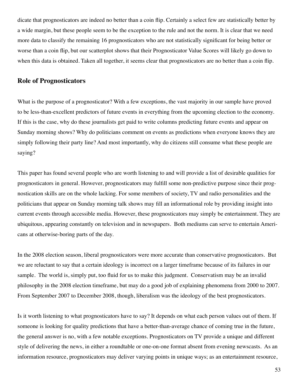dicate that prognosticators are indeed no better than a coin flip. Certainly a select few are statistically better by a wide margin, but these people seem to be the exception to the rule and not the norm. It is clear that we need more data to classify the remaining 16 prognosticators who are not statistically significant for being better or worse than a coin flip, but our scatterplot shows that their Prognosticator Value Scores will likely go down to when this data is obtained. Taken all together, it seems clear that prognosticators are no better than a coin flip.

#### **Role of Prognosticators**

What is the purpose of a prognosticator? With a few exceptions, the vast majority in our sample have proved to be less-than-excellent predictors of future events in everything from the upcoming election to the economy. If this is the case, why do these journalists get paid to write columns predicting future events and appear on Sunday morning shows? Why do politicians comment on events as predictions when everyone knows they are simply following their party line? And most importantly, why do citizens still consume what these people are saying?

This paper has found several people who are worth listening to and will provide a list of desirable qualities for prognosticators in general. However, prognosticators may fulfill some non-predictive purpose since their prognostication skills are on the whole lacking. For some members of society, TV and radio personalities and the politicians that appear on Sunday morning talk shows may fill an informational role by providing insight into current events through accessible media. However, these prognosticators may simply be entertainment. They are ubiquitous, appearing constantly on television and in newspapers. Both mediums can serve to entertain Americans at otherwise-boring parts of the day.

In the 2008 election season, liberal prognosticators were more accurate than conservative prognosticators. But we are reluctant to say that a certain ideology is incorrect on a larger timeframe because of its failures in our sample. The world is, simply put, too fluid for us to make this judgment. Conservatism may be an invalid philosophy in the 2008 election timeframe, but may do a good job of explaining phenomena from 2000 to 2007. From September 2007 to December 2008, though, liberalism was the ideology of the best prognosticators.

Is it worth listening to what prognosticators have to say? It depends on what each person values out of them. If someone is looking for quality predictions that have a better-than-average chance of coming true in the future, the general answer is no, with a few notable exceptions. Prognosticators on TV provide a unique and different style of delivering the news, in either a roundtable or one-on-one format absent from evening newscasts. As an information resource, prognosticators may deliver varying points in unique ways; as an entertainment resource,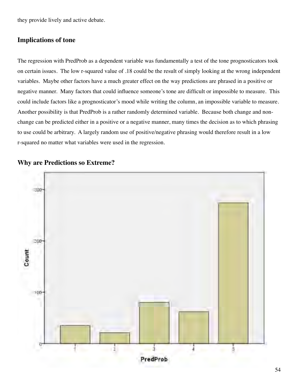they provide lively and active debate.

#### **Implications of tone**

The regression with PredProb as a dependent variable was fundamentally a test of the tone prognosticators took on certain issues. The low r-squared value of .18 could be the result of simply looking at the wrong independent variables. Maybe other factors have a much greater effect on the way predictions are phrased in a positive or negative manner. Many factors that could influence someone's tone are difficult or impossible to measure. This could include factors like a prognosticator's mood while writing the column, an impossible variable to measure. Another possibility is that PredProb is a rather randomly determined variable. Because both change and nonchange can be predicted either in a positive or a negative manner, many times the decision as to which phrasing to use could be arbitrary. A largely random use of positive/negative phrasing would therefore result in a low r-squared no matter what variables were used in the regression.



#### **Why are Predictions so Extreme?**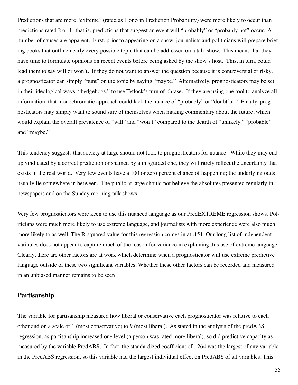Predictions that are more "extreme" (rated as 1 or 5 in Prediction Probability) were more likely to occur than predictions rated 2 or 4--that is, predictions that suggest an event will "probably" or "probably not" occur. A number of causes are apparent. First, prior to appearing on a show, journalists and politicians will prepare briefing books that outline nearly every possible topic that can be addressed on a talk show. This means that they have time to formulate opinions on recent events before being asked by the show's host. This, in turn, could lead them to say will or won't. If they do not want to answer the question because it is controversial or risky, a prognosticator can simply "punt" on the topic by saying "maybe." Alternatively, prognosticators may be set in their ideological ways; "hedgehogs," to use Tetlock's turn of phrase. If they are using one tool to analyze all information, that monochromatic approach could lack the nuance of "probably" or "doubtful." Finally, prognosticators may simply want to sound sure of themselves when making commentary about the future, which would explain the overall prevalence of "will" and "won't" compared to the dearth of "unlikely," "probable" and "maybe."

This tendency suggests that society at large should not look to prognosticators for nuance. While they may end up vindicated by a correct prediction or shamed by a misguided one, they will rarely reflect the uncertainty that exists in the real world. Very few events have a 100 or zero percent chance of happening; the underlying odds usually lie somewhere in between. The public at large should not believe the absolutes presented regularly in newspapers and on the Sunday morning talk shows.

Very few prognosticators were keen to use this nuanced language as our PredEXTREME regression shows. Politicians were much more likely to use extreme language, and journalists with more experience were also much more likely to as well. The R-squared value for this regression comes in at .151. Our long list of independent variables does not appear to capture much of the reason for variance in explaining this use of extreme language. Clearly, there are other factors are at work which determine when a prognosticator will use extreme predictive language outside of these two significant variables. Whether these other factors can be recorded and measured in an unbiased manner remains to be seen.

#### Partisanship

The variable for partisanship measured how liberal or conservative each prognosticator was relative to each other and on a scale of 1 (most conservative) to 9 (most liberal). As stated in the analysis of the predABS regression, as partisanship increased one level (a person was rated more liberal), so did predictive capacity as measured by the variable PredABS. In fact, the standardized coefficient of -.264 was the largest of any variable in the PredABS regression, so this variable had the largest individual effect on PredABS of all variables. This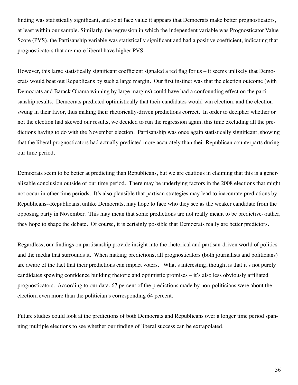finding was statistically significant, and so at face value it appears that Democrats make better prognosticators, at least within our sample. Similarly, the regression in which the independent variable was Prognosticator Value Score (PVS), the Partisanship variable was statistically significant and had a positive coefficient, indicating that prognosticators that are more liberal have higher PVS.

However, this large statistically significant coefficient signaled a red flag for us – it seems unlikely that Democrats would beat out Republicans by such a large margin. Our first instinct was that the election outcome (with Democrats and Barack Obama winning by large margins) could have had a confounding effect on the partisanship results. Democrats predicted optimistically that their candidates would win election, and the election swung in their favor, thus making their rhetorically-driven predictions correct. In order to decipher whether or not the election had skewed our results, we decided to run the regression again, this time excluding all the predictions having to do with the November election. Partisanship was once again statistically significant, showing that the liberal prognosticators had actually predicted more accurately than their Republican counterparts during our time period.

Democrats seem to be better at predicting than Republicans, but we are cautious in claiming that this is a generalizable conclusion outside of our time period. There may be underlying factors in the 2008 elections that might not occur in other time periods. It's also plausible that partisan strategies may lead to inaccurate predictions by Republicans--Republicans, unlike Democrats, may hope to face who they see as the weaker candidate from the opposing party in November. This may mean that some predictions are not really meant to be predictive--rather, they hope to shape the debate. Of course, it is certainly possible that Democrats really are better predictors.

Regardless, our findings on partisanship provide insight into the rhetorical and partisan-driven world of politics and the media that surrounds it. When making predictions, all prognosticators (both journalists and politicians) are aware of the fact that their predictions can impact voters. What's interesting, though, is that it's not purely candidates spewing confidence building rhetoric and optimistic promises – it's also less obviously affiliated prognosticators. According to our data, 67 percent of the predictions made by non-politicians were about the election, even more than the politician's corresponding 64 percent.

Future studies could look at the predictions of both Democrats and Republicans over a longer time period spanning multiple elections to see whether our finding of liberal success can be extrapolated.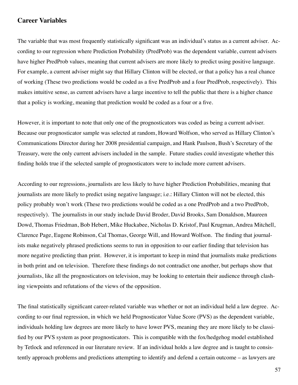#### **Career Variables**

The variable that was most frequently statistically significant was an individual's status as a current adviser. According to our regression where Prediction Probability (PredProb) was the dependent variable, current advisers have higher PredProb values, meaning that current advisers are more likely to predict using positive language. For example, a current adviser might say that Hillary Clinton will be elected, or that a policy has a real chance of working (These two predictions would be coded as a five PredProb and a four PredProb, respectively). This makes intuitive sense, as current advisers have a large incentive to tell the public that there is a higher chance that a policy is working, meaning that prediction would be coded as a four or a five.

However, it is important to note that only one of the prognosticators was coded as being a current adviser. Because our prognosticator sample was selected at random, Howard Wolfson, who served as Hillary Clinton's Communications Director during her 2008 presidential campaign, and Hank Paulson, Bush's Secretary of the Treasury, were the only current advisers included in the sample. Future studies could investigate whether this finding holds true if the selected sample of prognosticators were to include more current advisers.

According to our regressions, journalists are less likely to have higher Prediction Probabilities, meaning that journalists are more likely to predict using negative language; i.e.: Hillary Clinton will not be elected, this policy probably won't work (These two predictions would be coded as a one PredProb and a two PredProb, respectively). The journalists in our study include David Broder, David Brooks, Sam Donaldson, Maureen Dowd, Thomas Friedman, Bob Hebert, Mike Huckabee, Nicholas D. Kristof, Paul Krugman, Andrea Mitchell, Clarence Page, Eugene Robinson, Cal Thomas, George Will, and Howard Wolfson. The finding that journalists make negatively phrased predictions seems to run in opposition to our earlier finding that television has more negative predicting than print. However, it is important to keep in mind that journalists make predictions in both print and on television. Therefore these findings do not contradict one another, but perhaps show that journalists, like all the prognosticators on television, may be looking to entertain their audience through clashing viewpoints and refutations of the views of the opposition.

The final statistically significant career-related variable was whether or not an individual held a law degree. According to our final regression, in which we held Prognosticator Value Score (PVS) as the dependent variable, individuals holding law degrees are more likely to have lower PVS, meaning they are more likely to be classified by our PVS system as poor prognosticators. This is compatible with the fox/hedgehog model established by Tetlock and referenced in our literature review. If an individual holds a law degree and is taught to consistently approach problems and predictions attempting to identify and defend a certain outcome – as lawyers are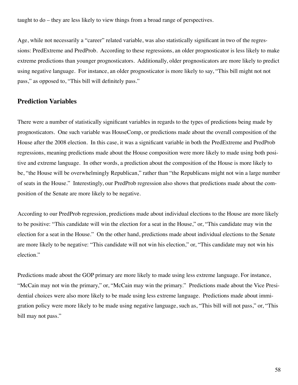taught to do – they are less likely to view things from a broad range of perspectives.

Age, while not necessarily a "career" related variable, was also statistically significant in two of the regressions: PredExtreme and PredProb. According to these regressions, an older prognosticator is less likely to make extreme predictions than younger prognosticators. Additionally, older prognosticators are more likely to predict using negative language. For instance, an older prognosticator is more likely to say, "This bill might not not pass," as opposed to, "This bill will definitely pass."

#### **Prediction Variables**

There were a number of statistically significant variables in regards to the types of predictions being made by prognosticators. One such variable was HouseComp, or predictions made about the overall composition of the House after the 2008 election. In this case, it was a significant variable in both the PredExtreme and PredProb regressions, meaning predictions made about the House composition were more likely to made using both positive and extreme language. In other words, a prediction about the composition of the House is more likely to be, "the House will be overwhelmingly Republican," rather than "the Republicans might not win a large number of seats in the House." Interestingly, our PredProb regression also shows that predictions made about the composition of the Senate are more likely to be negative.

According to our PredProb regression, predictions made about individual elections to the House are more likely to be positive: "This candidate will win the election for a seat in the House," or, "This candidate may win the election for a seat in the House." On the other hand, predictions made about individual elections to the Senate are more likely to be negative: "This candidate will not win his election," or, "This candidate may not win his election."

Predictions made about the GOP primary are more likely to made using less extreme language. For instance, "McCain may not win the primary," or, "McCain may win the primary." Predictions made about the Vice Presidential choices were also more likely to be made using less extreme language. Predictions made about immigration policy were more likely to be made using negative language, such as, "This bill will not pass," or, "This bill may not pass."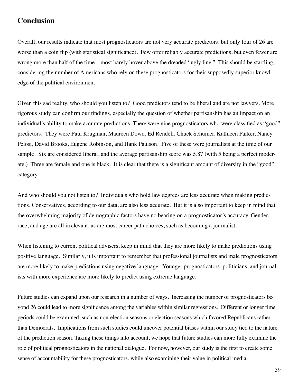# **Conclusion**

Overall, our results indicate that most prognosticators are not very accurate predictors, but only four of 26 are worse than a coin flip (with statistical significance). Few offer reliably accurate predictions, but even fewer are wrong more than half of the time – most barely hover above the dreaded "ugly line." This should be startling, considering the number of Americans who rely on these prognosticators for their supposedly superior knowledge of the political environment.

Given this sad reality, who should you listen to? Good predictors tend to be liberal and are not lawyers. More rigorous study can confirm our findings, especially the question of whether partisanship has an impact on an individual's ability to make accurate predictions. There were nine prognosticators who were classified as "good" predictors. They were Paul Krugman, Maureen Dowd, Ed Rendell, Chuck Schumer, Kathleen Parker, Nancy Pelosi, David Brooks, Eugene Robinson, and Hank Paulson. Five of these were journalists at the time of our sample. Six are considered liberal, and the average partisanship score was 5.87 (with 5 being a perfect moderate.) Three are female and one is black. It is clear that there is a significant amount of diversity in the "good" category.

And who should you not listen to? Individuals who hold law degrees are less accurate when making predictions. Conservatives, according to our data, are also less accurate. But it is also important to keep in mind that the overwhelming majority of demographic factors have no bearing on a prognosticator's accuracy. Gender, race, and age are all irrelevant, as are most career path choices, such as becoming a journalist.

When listening to current political advisers, keep in mind that they are more likely to make predictions using positive language. Similarly, it is important to remember that professional journalists and male prognosticators are more likely to make predictions using negative language. Younger prognosticators, politicians, and journalists with more experience are more likely to predict using extreme language.

Future studies can expand upon our research in a number of ways. Increasing the number of prognosticators beyond 26 could lead to more significance among the variables within similar regressions. Different or longer time periods could be examined, such as non-election seasons or election seasons which favored Republicans rather than Democrats. Implications from such studies could uncover potential biases within our study tied to the nature of the prediction season. Taking these things into account, we hope that future studies can more fully examine the role of political prognosticators in the national dialogue. For now, however, our study is the first to create some sense of accountability for these prognosticators, while also examining their value in political media.